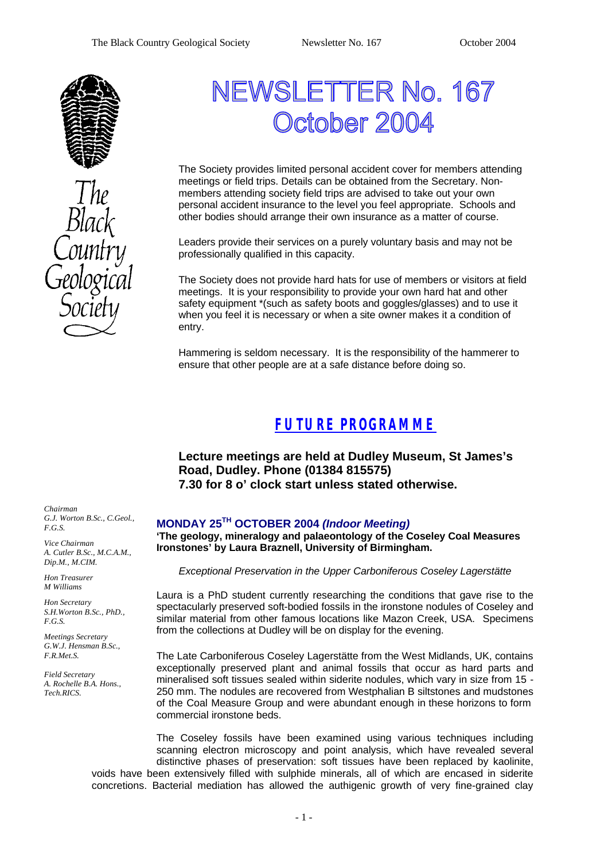

# NEWSLETTER No. 167 Ctober 2004

The Society provides limited personal accident cover for members attending meetings or field trips. Details can be obtained from the Secretary. Nonmembers attending society field trips are advised to take out your own personal accident insurance to the level you feel appropriate. Schools and other bodies should arrange their own insurance as a matter of course.

Leaders provide their services on a purely voluntary basis and may not be professionally qualified in this capacity.

The Society does not provide hard hats for use of members or visitors at field meetings. It is your responsibility to provide your own hard hat and other safety equipment \*(such as safety boots and goggles/glasses) and to use it when you feel it is necessary or when a site owner makes it a condition of entry.

Hammering is seldom necessary. It is the responsibility of the hammerer to ensure that other people are at a safe distance before doing so.

## *FUTURE PROGRAMME*

**Lecture meetings are held at Dudley Museum, St James's Road, Dudley. Phone (01384 815575) 7.30 for 8 o' clock start unless stated otherwise.**

#### **MONDAY 25TH OCTOBER 2004** *(Indoor Meeting)*

**'The geology, mineralogy and palaeontology of the Coseley Coal Measures Ironstones' by Laura Braznell, University of Birmingham.**

*Exceptional Preservation in the Upper Carboniferous Coseley Lagerstätte*

Laura is a PhD student currently researching the conditions that gave rise to the spectacularly preserved soft-bodied fossils in the ironstone nodules of Coseley and similar material from other famous locations like Mazon Creek, USA. Specimens from the collections at Dudley will be on display for the evening.

The Late Carboniferous Coseley Lagerstätte from the West Midlands, UK, contains exceptionally preserved plant and animal fossils that occur as hard parts and mineralised soft tissues sealed within siderite nodules, which vary in size from 15 - 250 mm. The nodules are recovered from Westphalian B siltstones and mudstones of the Coal Measure Group and were abundant enough in these horizons to form commercial ironstone beds.

The Coseley fossils have been examined using various techniques including scanning electron microscopy and point analysis, which have revealed several distinctive phases of preservation: soft tissues have been replaced by kaolinite, voids have been extensively filled with sulphide minerals, all of which are encased in siderite concretions. Bacterial mediation has allowed the authigenic growth of very fine-grained clay

*Chairman G.J. Worton B.Sc., C.Geol., F.G.S.*

*Vice Chairman A. Cutler B.Sc., M.C.A.M., Dip.M., M.CIM.*

*Hon Treasurer M Williams* 

*Hon Secretary S.H.Worton B.Sc., PhD., F.G.S.*

*Meetings Secretary G.W.J. Hensman B.Sc., F.R.Met.S.*

*Field Secretary A. Rochelle B.A. Hons., Tech.RICS.*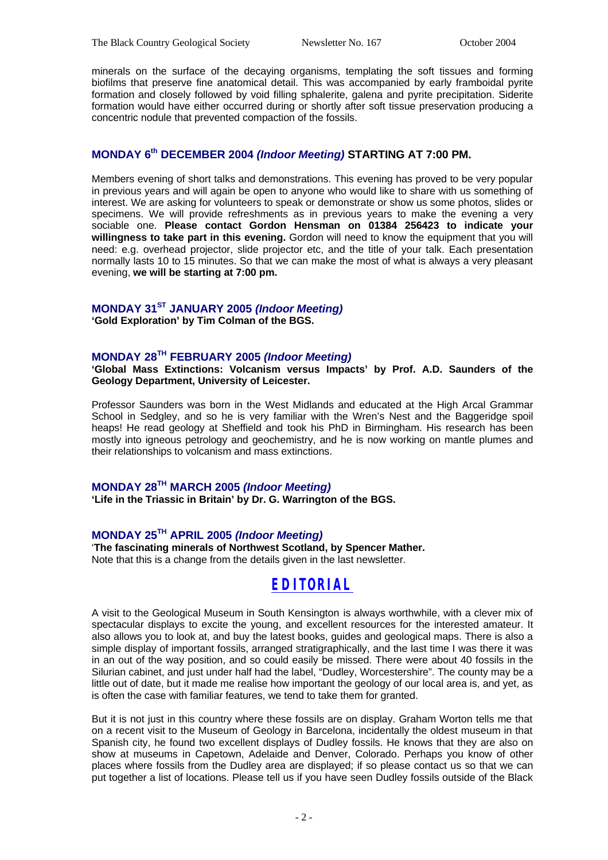minerals on the surface of the decaying organisms, templating the soft tissues and forming biofilms that preserve fine anatomical detail. This was accompanied by early framboidal pyrite formation and closely followed by void filling sphalerite, galena and pyrite precipitation. Siderite formation would have either occurred during or shortly after soft tissue preservation producing a concentric nodule that prevented compaction of the fossils.

### **MONDAY 6th DECEMBER 2004** *(Indoor Meeting)* **STARTING AT 7:00 PM.**

Members evening of short talks and demonstrations. This evening has proved to be very popular in previous years and will again be open to anyone who would like to share with us something of interest. We are asking for volunteers to speak or demonstrate or show us some photos, slides or specimens. We will provide refreshments as in previous years to make the evening a very sociable one. **Please contact Gordon Hensman on 01384 256423 to indicate your willingness to take part in this evening.** Gordon will need to know the equipment that you will need: e.g. overhead projector, slide projector etc, and the title of your talk. Each presentation normally lasts 10 to 15 minutes. So that we can make the most of what is always a very pleasant evening, **we will be starting at 7:00 pm.**

#### **MONDAY 31ST JANUARY 2005** *(Indoor Meeting)*

**'Gold Exploration' by Tim Colman of the BGS.**

#### **MONDAY 28TH FEBRUARY 2005** *(Indoor Meeting)*

**'Global Mass Extinctions: Volcanism versus Impacts' by Prof. A.D. Saunders of the Geology Department, University of Leicester.**

Professor Saunders was born in the West Midlands and educated at the High Arcal Grammar School in Sedgley, and so he is very familiar with the Wren's Nest and the Baggeridge spoil heaps! He read geology at Sheffield and took his PhD in Birmingham. His research has been mostly into igneous petrology and geochemistry, and he is now working on mantle plumes and their relationships to volcanism and mass extinctions.

#### **MONDAY 28TH MARCH 2005** *(Indoor Meeting)*

**'Life in the Triassic in Britain' by Dr. G. Warrington of the BGS.** 

#### **MONDAY 25TH APRIL 2005** *(Indoor Meeting)*

'**The fascinating minerals of Northwest Scotland, by Spencer Mather.** Note that this is a change from the details given in the last newsletter.

## *EDITORIAL*

A visit to the Geological Museum in South Kensington is always worthwhile, with a clever mix of spectacular displays to excite the young, and excellent resources for the interested amateur. It also allows you to look at, and buy the latest books, guides and geological maps. There is also a simple display of important fossils, arranged stratigraphically, and the last time I was there it was in an out of the way position, and so could easily be missed. There were about 40 fossils in the Silurian cabinet, and just under half had the label, "Dudley, Worcestershire". The county may be a little out of date, but it made me realise how important the geology of our local area is, and yet, as is often the case with familiar features, we tend to take them for granted.

But it is not just in this country where these fossils are on display. Graham Worton tells me that on a recent visit to the Museum of Geology in Barcelona, incidentally the oldest museum in that Spanish city, he found two excellent displays of Dudley fossils. He knows that they are also on show at museums in Capetown, Adelaide and Denver, Colorado. Perhaps you know of other places where fossils from the Dudley area are displayed; if so please contact us so that we can put together a list of locations. Please tell us if you have seen Dudley fossils outside of the Black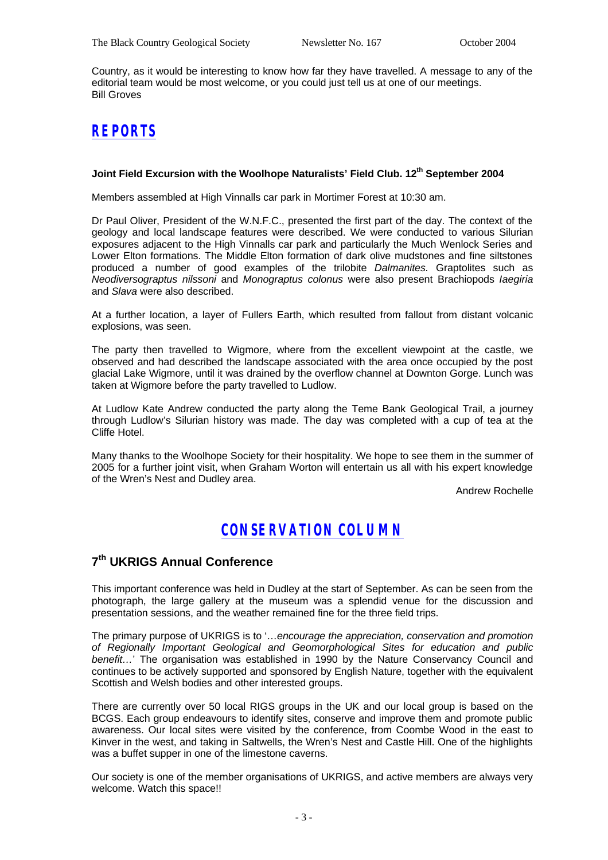Country, as it would be interesting to know how far they have travelled. A message to any of the editorial team would be most welcome, or you could just tell us at one of our meetings. Bill Groves

# *REPORTS*

#### **Joint Field Excursion with the Woolhope Naturalists' Field Club. 12th September 2004**

Members assembled at High Vinnalls car park in Mortimer Forest at 10:30 am.

Dr Paul Oliver, President of the W.N.F.C., presented the first part of the day. The context of the geology and local landscape features were described. We were conducted to various Silurian exposures adjacent to the High Vinnalls car park and particularly the Much Wenlock Series and Lower Elton formations. The Middle Elton formation of dark olive mudstones and fine siltstones produced a number of good examples of the trilobite *Dalmanites.* Graptolites such as *Neodiversograptus nilssoni* and *Monograptus colonus* were also present Brachiopods *Iaegiria* and *Slava* were also described.

At a further location, a layer of Fullers Earth, which resulted from fallout from distant volcanic explosions, was seen.

The party then travelled to Wigmore, where from the excellent viewpoint at the castle, we observed and had described the landscape associated with the area once occupied by the post glacial Lake Wigmore, until it was drained by the overflow channel at Downton Gorge. Lunch was taken at Wigmore before the party travelled to Ludlow.

At Ludlow Kate Andrew conducted the party along the Teme Bank Geological Trail, a journey through Ludlow's Silurian history was made. The day was completed with a cup of tea at the Cliffe Hotel.

Many thanks to the Woolhope Society for their hospitality. We hope to see them in the summer of 2005 for a further joint visit, when Graham Worton will entertain us all with his expert knowledge of the Wren's Nest and Dudley area.

Andrew Rochelle

## *CONSERVATION COLUMN*

## **7 th UKRIGS Annual Conference**

This important conference was held in Dudley at the start of September. As can be seen from the photograph, the large gallery at the museum was a splendid venue for the discussion and presentation sessions, and the weather remained fine for the three field trips.

The primary purpose of UKRIGS is to '…*encourage the appreciation, conservation and promotion of Regionally Important Geological and Geomorphological Sites for education and public benefit…*' The organisation was established in 1990 by the Nature Conservancy Council and continues to be actively supported and sponsored by English Nature, together with the equivalent Scottish and Welsh bodies and other interested groups.

There are currently over 50 local RIGS groups in the UK and our local group is based on the BCGS. Each group endeavours to identify sites, conserve and improve them and promote public awareness. Our local sites were visited by the conference, from Coombe Wood in the east to Kinver in the west, and taking in Saltwells, the Wren's Nest and Castle Hill. One of the highlights was a buffet supper in one of the limestone caverns.

Our society is one of the member organisations of UKRIGS, and active members are always very welcome. Watch this space!!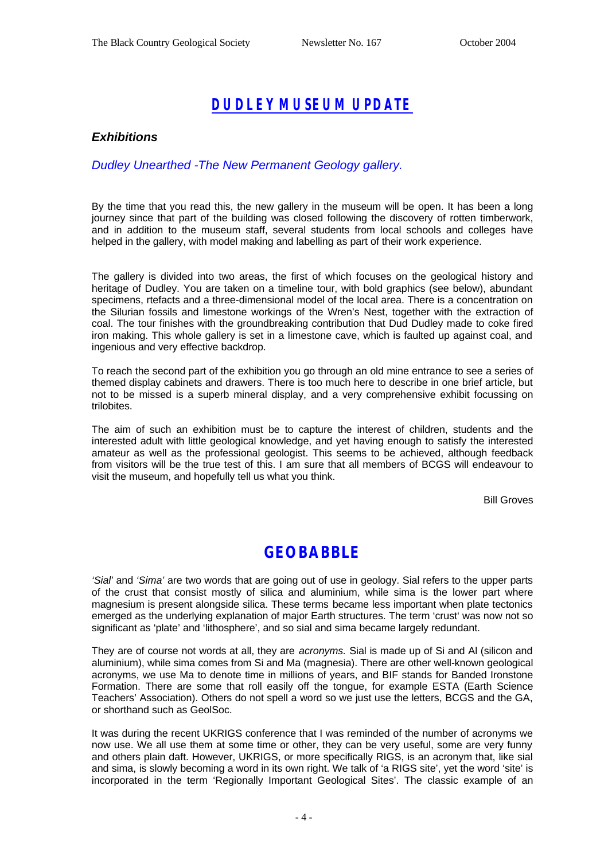# *DUDLEY MUSEUM UPDATE*

#### *Exhibitions*

#### *Dudley Unearthed -The New Permanent Geology gallery.*

By the time that you read this, the new gallery in the museum will be open. It has been a long journey since that part of the building was closed following the discovery of rotten timberwork, and in addition to the museum staff, several students from local schools and colleges have helped in the gallery, with model making and labelling as part of their work experience.

The gallery is divided into two areas, the first of which focuses on the geological history and heritage of Dudley. You are taken on a timeline tour, with bold graphics (see below), abundant specimens, rtefacts and a three-dimensional model of the local area. There is a concentration on the Silurian fossils and limestone workings of the Wren's Nest, together with the extraction of coal. The tour finishes with the groundbreaking contribution that Dud Dudley made to coke fired iron making. This whole gallery is set in a limestone cave, which is faulted up against coal, and ingenious and very effective backdrop.

To reach the second part of the exhibition you go through an old mine entrance to see a series of themed display cabinets and drawers. There is too much here to describe in one brief article, but not to be missed is a superb mineral display, and a very comprehensive exhibit focussing on trilobites.

The aim of such an exhibition must be to capture the interest of children, students and the interested adult with little geological knowledge, and yet having enough to satisfy the interested amateur as well as the professional geologist. This seems to be achieved, although feedback from visitors will be the true test of this. I am sure that all members of BCGS will endeavour to visit the museum, and hopefully tell us what you think.

Bill Groves

## **GEOBABBLE**

*'Sial'* and *'Sima'* are two words that are going out of use in geology. Sial refers to the upper parts of the crust that consist mostly of silica and aluminium, while sima is the lower part where magnesium is present alongside silica. These terms became less important when plate tectonics emerged as the underlying explanation of major Earth structures. The term 'crust' was now not so significant as 'plate' and 'lithosphere', and so sial and sima became largely redundant.

They are of course not words at all, they are *acronyms.* Sial is made up of Si and Al (silicon and aluminium), while sima comes from Si and Ma (magnesia). There are other well-known geological acronyms, we use Ma to denote time in millions of years, and BIF stands for Banded Ironstone Formation. There are some that roll easily off the tongue, for example ESTA (Earth Science Teachers' Association). Others do not spell a word so we just use the letters, BCGS and the GA, or shorthand such as GeolSoc.

It was during the recent UKRIGS conference that I was reminded of the number of acronyms we now use. We all use them at some time or other, they can be very useful, some are very funny and others plain daft. However, UKRIGS, or more specifically RIGS, is an acronym that, like sial and sima, is slowly becoming a word in its own right. We talk of 'a RIGS site', yet the word 'site' is incorporated in the term 'Regionally Important Geological Sites'. The classic example of an